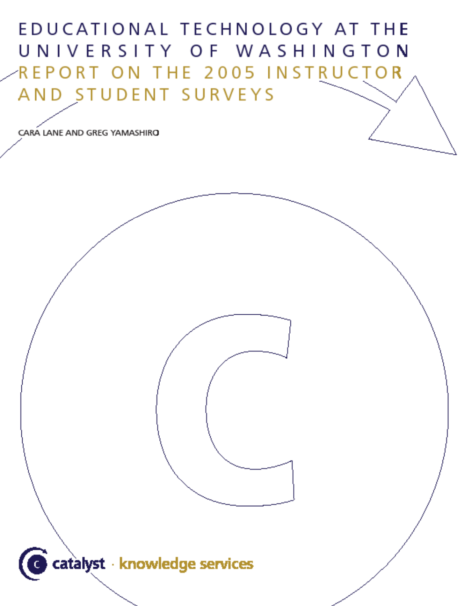# EDUCATIONAL TECHNOLOGY AT THE UNIVERSITY OF WASHINGTON REPORT ON THE 2005 INSTRUCTOR AND STUDENT SURVEYS

CARA LANE AND GREG YAMASHIRO

G catalyst · knowledge services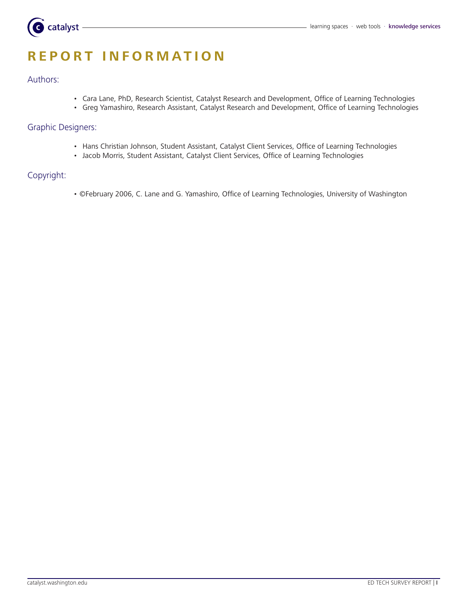

# **R e P O R T I N F O R M A T I O N**

#### Authors:

- • Cara Lane, PhD, Research Scientist, Catalyst Research and Development, Office of Learning Technologies
- • Greg Yamashiro, Research Assistant, Catalyst Research and Development, Office of Learning Technologies

#### Graphic Designers:

- Hans Christian Johnson, Student Assistant, Catalyst Client Services, Office of Learning Technologies
- Jacob Morris, Student Assistant, Catalyst Client Services, Office of Learning Technologies

# Copyright:

• ©February 2006, C. Lane and G. Yamashiro, Office of Learning Technologies, University of Washington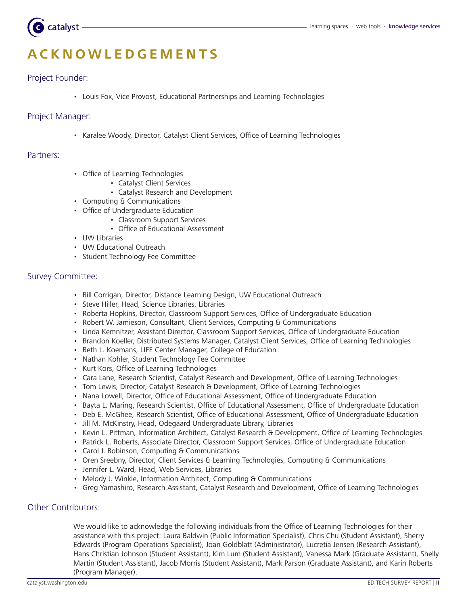

# **A c k no w l e d g e m e nt s**

# Project Founder:

• Louis Fox, Vice Provost, Educational Partnerships and Learning Technologies

## Project Manager:

• Karalee Woody, Director, Catalyst Client Services, Office of Learning Technologies

#### Partners:

- Office of Learning Technologies
	- Catalyst Client Services
	- Catalyst Research and Development
- • Computing & Communications
- • Office of Undergraduate Education
	- Classroom Support Services
	- Office of Educational Assessment
- • UW Libraries
- • UW Educational Outreach
- • Student Technology Fee Committee

### Survey Committee:

- Bill Corrigan, Director, Distance Learning Design, UW Educational Outreach
- • Steve Hiller, Head, Science Libraries, Libraries
- • Roberta Hopkins, Director, Classroom Support Services, Office of Undergraduate Education
- Robert W. Jamieson, Consultant, Client Services, Computing & Communications
- • Linda Kemnitzer, Assistant Director, Classroom Support Services, Office of Undergraduate Education
- • Brandon Koeller, Distributed Systems Manager, Catalyst Client Services, Office of Learning Technologies
- Beth L. Koemans, LIFE Center Manager, College of Education
- Nathan Kohler, Student Technology Fee Committee
- Kurt Kors, Office of Learning Technologies
- • Cara Lane, Research Scientist, Catalyst Research and Development, Office of Learning Technologies
- Tom Lewis, Director, Catalyst Research & Development, Office of Learning Technologies
- • Nana Lowell, Director, Office of Educational Assessment, Office of Undergraduate Education
- • Bayta L. Maring, Research Scientist, Office of Educational Assessment, Office of Undergraduate Education
- Deb E. McGhee, Research Scientist, Office of Educational Assessment, Office of Undergraduate Education
- Jill M. McKinstry, Head, Odegaard Undergraduate Library, Libraries
- • Kevin L. Pittman, Information Architect, Catalyst Research & Development, Office of Learning Technologies
- Patrick L. Roberts, Associate Director, Classroom Support Services, Office of Undergraduate Education
- Carol J. Robinson, Computing & Communications
- Oren Sreebny, Director, Client Services & Learning Technologies, Computing & Communications
- • Jennifer L. Ward, Head, Web Services, Libraries
- Melody J. Winkle, Information Architect, Computing & Communications
- • Greg Yamashiro, Research Assistant, Catalyst Research and Development, Office of Learning Technologies

# Other Contributors:

We would like to acknowledge the following individuals from the Office of Learning Technologies for their assistance with this project: Laura Baldwin (Public Information Specialist), Chris Chu (Student Assistant), Sherry Edwards (Program Operations Specialist), Joan Goldblatt (Administrator), Lucretia Jensen (Research Assistant), Hans Christian Johnson (Student Assistant), Kim Lum (Student Assistant), Vanessa Mark (Graduate Assistant), Shelly Martin (Student Assistant), Jacob Morris (Student Assistant), Mark Parson (Graduate Assistant), and Karin Roberts (Program Manager).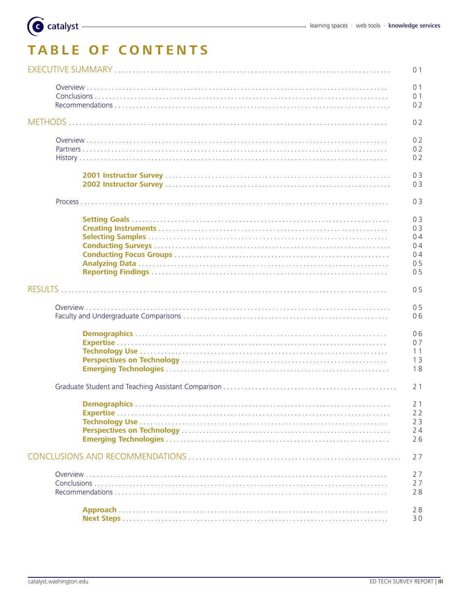# **TABLE OF CONTENTS**

Catalyst

| 0 <sub>1</sub> |
|----------------|
| 0 <sub>1</sub> |
| 01             |
| 02             |
| 02             |
|                |
| 02             |
| 0 <sub>2</sub> |
| 02             |
| 03             |
| 03             |
| 03             |
| 03             |
| 03             |
| 04             |
| 0 <sub>4</sub> |
| 04             |
| 0 <sub>5</sub> |
| 0 <sub>5</sub> |
| 0 <sub>5</sub> |
| 05             |
| 06             |
| 06             |
| 07             |
| 11             |
| 13             |
| 18             |
|                |
| 21             |
| 2 <sub>1</sub> |
| 22             |
| 23             |
| 24             |
| 26             |
| 27             |
| 27             |
| 27             |
| 28             |
| 28             |
| 30             |
|                |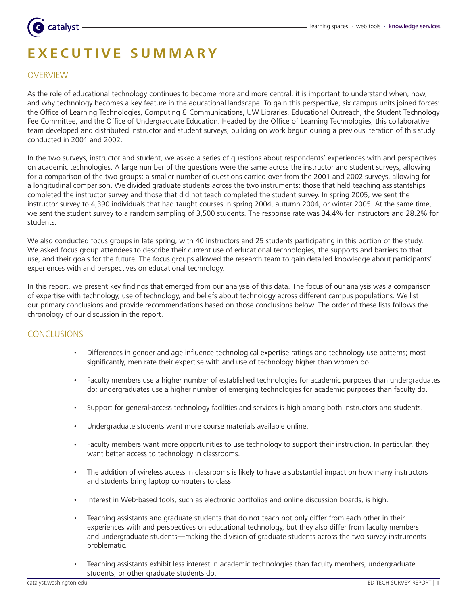# catalyst

# **E X EC U T I V E S U M M A R Y**

# **OVERVIEW**

As the role of educational technology continues to become more and more central, it is important to understand when, how, and why technology becomes a key feature in the educational landscape. To gain this perspective, six campus units joined forces: the Office of Learning Technologies, Computing & Communications, UW Libraries, Educational Outreach, the Student Technology Fee Committee, and the Office of Undergraduate Education. Headed by the Office of Learning Technologies, this collaborative team developed and distributed instructor and student surveys, building on work begun during a previous iteration of this study conducted in 2001 and 2002.

In the two surveys, instructor and student, we asked a series of questions about respondents' experiences with and perspectives on academic technologies. A large number of the questions were the same across the instructor and student surveys, allowing for a comparison of the two groups; a smaller number of questions carried over from the 2001 and 2002 surveys, allowing for a longitudinal comparison. We divided graduate students across the two instruments: those that held teaching assistantships completed the instructor survey and those that did not teach completed the student survey. In spring 2005, we sent the instructor survey to 4,390 individuals that had taught courses in spring 2004, autumn 2004, or winter 2005. At the same time, we sent the student survey to a random sampling of 3,500 students. The response rate was 34.4% for instructors and 28.2% for students.

We also conducted focus groups in late spring, with 40 instructors and 25 students participating in this portion of the study. We asked focus group attendees to describe their current use of educational technologies, the supports and barriers to that use, and their goals for the future. The focus groups allowed the research team to gain detailed knowledge about participants' experiences with and perspectives on educational technology.

In this report, we present key findings that emerged from our analysis of this data. The focus of our analysis was a comparison of expertise with technology, use of technology, and beliefs about technology across different campus populations. We list our primary conclusions and provide recommendations based on those conclusions below. The order of these lists follows the chronology of our discussion in the report.

# Conclusions

- Differences in gender and age influence technological expertise ratings and technology use patterns; most significantly, men rate their expertise with and use of technology higher than women do. •
- Faculty members use a higher number of established technologies for academic purposes than undergraduates do; undergraduates use a higher number of emerging technologies for academic purposes than faculty do. •
- Support for general-access technology facilities and services is high among both instructors and students. •
- Undergraduate students want more course materials available online. •
- Faculty members want more opportunities to use technology to support their instruction. In particular, they want better access to technology in classrooms. •
- The addition of wireless access in classrooms is likely to have a substantial impact on how many instructors and students bring laptop computers to class. •
- Interest in Web-based tools, such as electronic portfolios and online discussion boards, is high. •
- Teaching assistants and graduate students that do not teach not only differ from each other in their experiences with and perspectives on educational technology, but they also differ from faculty members and undergraduate students—making the division of graduate students across the two survey instruments problematic. •
- Teaching assistants exhibit less interest in academic technologies than faculty members, undergraduate students, or other graduate students do. •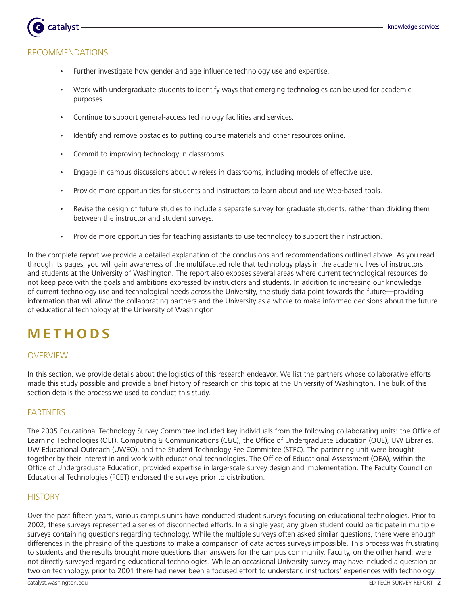# Recommendations

catalyst

- Further investigate how gender and age influence technology use and expertise. •
- Work with undergraduate students to identify ways that emerging technologies can be used for academic purposes. •
- Continue to support general-access technology facilities and services. •
- Identify and remove obstacles to putting course materials and other resources online. •
- Commit to improving technology in classrooms. •
- Engage in campus discussions about wireless in classrooms, including models of effective use. •
- Provide more opportunities for students and instructors to learn about and use Web-based tools. •
- Revise the design of future studies to include a separate survey for graduate students, rather than dividing them between the instructor and student surveys. •
- Provide more opportunities for teaching assistants to use technology to support their instruction. •

In the complete report we provide a detailed explanation of the conclusions and recommendations outlined above. As you read through its pages, you will gain awareness of the multifaceted role that technology plays in the academic lives of instructors and students at the University of Washington. The report also exposes several areas where current technological resources do not keep pace with the goals and ambitions expressed by instructors and students. In addition to increasing our knowledge of current technology use and technological needs across the University, the study data point towards the future—providing information that will allow the collaborating partners and the University as a whole to make informed decisions about the future of educational technology at the University of Washington.

# **M E T H O DS**

# OVERVIEW

In this section, we provide details about the logistics of this research endeavor. We list the partners whose collaborative efforts made this study possible and provide a brief history of research on this topic at the University of Washington. The bulk of this section details the process we used to conduct this study.

# PARTNERS

The 2005 Educational Technology Survey Committee included key individuals from the following collaborating units: the Office of Learning Technologies (OLT), Computing & Communications (C&C), the Office of Undergraduate Education (OUE), UW Libraries, UW Educational Outreach (UWEO), and the Student Technology Fee Committee (STFC). The partnering unit were brought together by their interest in and work with educational technologies. The Office of Educational Assessment (OEA), within the Office of Undergraduate Education, provided expertise in large-scale survey design and implementation. The Faculty Council on Educational Technologies (FCET) endorsed the surveys prior to distribution.

#### **HISTORY**

Over the past fifteen years, various campus units have conducted student surveys focusing on educational technologies. Prior to 2002, these surveys represented a series of disconnected efforts. In a single year, any given student could participate in multiple surveys containing questions regarding technology. While the multiple surveys often asked similar questions, there were enough differences in the phrasing of the questions to make a comparison of data across surveys impossible. This process was frustrating to students and the results brought more questions than answers for the campus community. Faculty, on the other hand, were not directly surveyed regarding educational technologies. While an occasional University survey may have included a question or two on technology, prior to 2001 there had never been a focused effort to understand instructors' experiences with technology.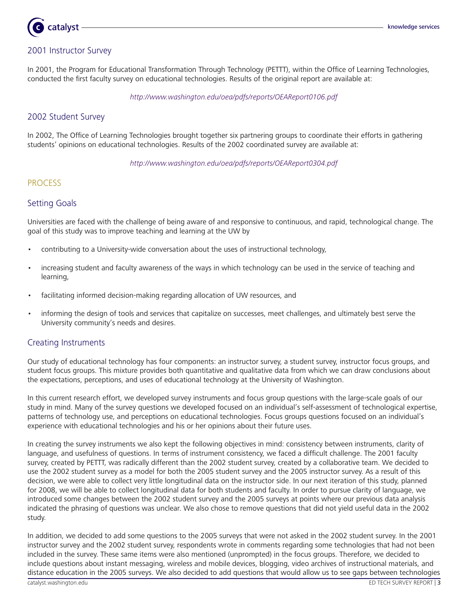# catalyst

# 2001 Instructor Survey

In 2001, the Program for Educational Transformation Through Technology (PETTT), within the Office of Learning Technologies, conducted the first faculty survey on educational technologies. Results of the original report are available at:

http://www.washington.edu/oea/pdfs/reports/OEAReport0106.pdf

# 2002 Student Survey

In 2002, The Office of Learning Technologies brought together six partnering groups to coordinate their efforts in gathering students' opinions on educational technologies. Results of the 2002 coordinated survey are available at:

http://www.washington.edu/oea/pdfs/reports/OEAReport0304.pdf

# **PROCESS**

# Setting Goals

Universities are faced with the challenge of being aware of and responsive to continuous, and rapid, technological change. The goal of this study was to improve teaching and learning at the UW by

- contributing to a University-wide conversation about the uses of instructional technology, •
- increasing student and faculty awareness of the ways in which technology can be used in the service of teaching and learning, •
- facilitating informed decision-making regarding allocation of UW resources, and •
- informing the design of tools and services that capitalize on successes, meet challenges, and ultimately best serve the University community's needs and desires. •

# Creating Instruments

Our study of educational technology has four components: an instructor survey, a student survey, instructor focus groups, and student focus groups. This mixture provides both quantitative and qualitative data from which we can draw conclusions about the expectations, perceptions, and uses of educational technology at the University of Washington.

In this current research effort, we developed survey instruments and focus group questions with the large-scale goals of our study in mind. Many of the survey questions we developed focused on an individual's self-assessment of technological expertise, patterns of technology use, and perceptions on educational technologies. Focus groups questions focused on an individual's experience with educational technologies and his or her opinions about their future uses.

In creating the survey instruments we also kept the following objectives in mind: consistency between instruments, clarity of language, and usefulness of questions. In terms of instrument consistency, we faced a difficult challenge. The 2001 faculty survey, created by PETTT, was radically different than the 2002 student survey, created by a collaborative team. We decided to use the 2002 student survey as a model for both the 2005 student survey and the 2005 instructor survey. As a result of this decision, we were able to collect very little longitudinal data on the instructor side. In our next iteration of this study, planned for 2008, we will be able to collect longitudinal data for both students and faculty. In order to pursue clarity of language, we introduced some changes between the 2002 student survey and the 2005 surveys at points where our previous data analysis indicated the phrasing of questions was unclear. We also chose to remove questions that did not yield useful data in the 2002 study.

In addition, we decided to add some questions to the 2005 surveys that were not asked in the 2002 student survey. In the 2001 instructor survey and the 2002 student survey, respondents wrote in comments regarding some technologies that had not been included in the survey. These same items were also mentioned (unprompted) in the focus groups. Therefore, we decided to include questions about instant messaging, wireless and mobile devices, blogging, video archives of instructional materials, and distance education in the 2005 surveys. We also decided to add questions that would allow us to see gaps between technologies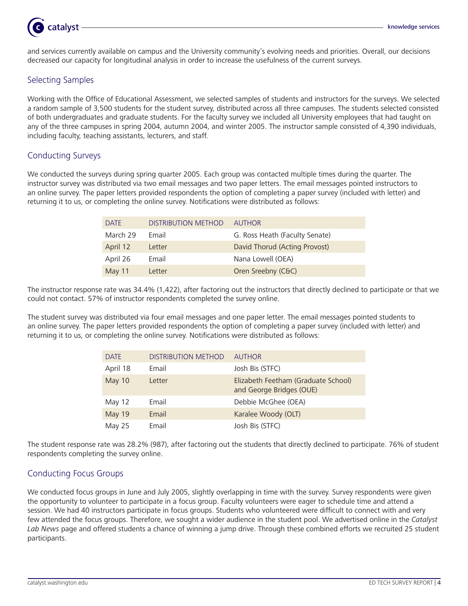

and services currently available on campus and the University community's evolving needs and priorities. Overall, our decisions decreased our capacity for longitudinal analysis in order to increase the usefulness of the current surveys.

# Selecting Samples

Working with the Office of Educational Assessment, we selected samples of students and instructors for the surveys. We selected a random sample of 3,500 students for the student survey, distributed across all three campuses. The students selected consisted of both undergraduates and graduate students. For the faculty survey we included all University employees that had taught on any of the three campuses in spring 2004, autumn 2004, and winter 2005. The instructor sample consisted of 4,390 individuals, including faculty, teaching assistants, lecturers, and staff.

# Conducting Surveys

We conducted the surveys during spring quarter 2005. Each group was contacted multiple times during the quarter. The instructor survey was distributed via two email messages and two paper letters. The email messages pointed instructors to an online survey. The paper letters provided respondents the option of completing a paper survey (included with letter) and returning it to us, or completing the online survey. Notifications were distributed as follows:

| <b>DATE</b> | <b>DISTRIBUTION METHOD</b> | AUTHOR                         |
|-------------|----------------------------|--------------------------------|
| March 29    | Fmail                      | G. Ross Heath (Faculty Senate) |
| April 12    | Letter                     | David Thorud (Acting Provost)  |
| April 26    | Fmail                      | Nana Lowell (OEA)              |
| May 11      | Letter                     | Oren Sreebny (C&C)             |

The instructor response rate was 34.4% (1,422), after factoring out the instructors that directly declined to participate or that we could not contact. 57% of instructor respondents completed the survey online.

The student survey was distributed via four email messages and one paper letter. The email messages pointed students to an online survey. The paper letters provided respondents the option of completing a paper survey (included with letter) and returning it to us, or completing the online survey. Notifications were distributed as follows:

| <b>DATE</b>   | <b>DISTRIBUTION METHOD</b> | <b>AUTHOR</b>                                                   |
|---------------|----------------------------|-----------------------------------------------------------------|
| April 18      | Email                      | Josh Bis (STFC)                                                 |
| May 10        | Letter                     | Elizabeth Feetham (Graduate School)<br>and George Bridges (OUE) |
| May 12        | Email                      | Debbie McGhee (OEA)                                             |
| May 19        | Email                      | Karalee Woody (OLT)                                             |
| <b>May 25</b> | Email                      | Josh Bis (STFC)                                                 |

The student response rate was 28.2% (987), after factoring out the students that directly declined to participate. 76% of student respondents completing the survey online.

# Conducting Focus Groups

We conducted focus groups in June and July 2005, slightly overlapping in time with the survey. Survey respondents were given the opportunity to volunteer to participate in a focus group. Faculty volunteers were eager to schedule time and attend a session. We had 40 instructors participate in focus groups. Students who volunteered were difficult to connect with and very few attended the focus groups. Therefore, we sought a wider audience in the student pool. We advertised online in the Catalyst Lab News page and offered students a chance of winning a jump drive. Through these combined efforts we recruited 25 student participants.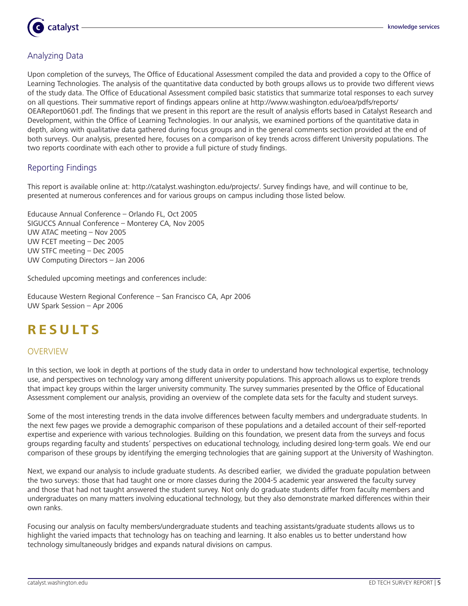

# Analyzing Data

Upon completion of the surveys, The Office of Educational Assessment compiled the data and provided a copy to the Office of Learning Technologies. The analysis of the quantitative data conducted by both groups allows us to provide two different views of the study data. The Office of Educational Assessment compiled basic statistics that summarize total responses to each survey on all questions. Their summative report of findings appears online at http://www.washington.edu/oea/pdfs/reports/ OEAReport0601.pdf. The findings that we present in this report are the result of analysis efforts based in Catalyst Research and Development, within the Office of Learning Technologies. In our analysis, we examined portions of the quantitative data in depth, along with qualitative data gathered during focus groups and in the general comments section provided at the end of both surveys. Our analysis, presented here, focuses on a comparison of key trends across different University populations. The two reports coordinate with each other to provide a full picture of study findings.

# Reporting Findings

This report is available online at: http://catalyst.washington.edu/projects/. Survey findings have, and will continue to be, presented at numerous conferences and for various groups on campus including those listed below.

Educause Annual Conference – Orlando FL, Oct 2005 SIGUCCS Annual Conference – Monterey CA, Nov 2005 UW ATAC meeting – Nov 2005 UW FCET meeting – Dec 2005 UW STFC meeting – Dec 2005 UW Computing Directors – Jan 2006

Scheduled upcoming meetings and conferences include:

Educause Western Regional Conference – San Francisco CA, Apr 2006 UW Spark Session – Apr 2006

# **R ES U LT S**

# OVERVIEW

In this section, we look in depth at portions of the study data in order to understand how technological expertise, technology use, and perspectives on technology vary among different university populations. This approach allows us to explore trends that impact key groups within the larger university community. The survey summaries presented by the Office of Educational Assessment complement our analysis, providing an overview of the complete data sets for the faculty and student surveys.

Some of the most interesting trends in the data involve differences between faculty members and undergraduate students. In the next few pages we provide a demographic comparison of these populations and a detailed account of their self-reported expertise and experience with various technologies. Building on this foundation, we present data from the surveys and focus groups regarding faculty and students' perspectives on educational technology, including desired long-term goals. We end our comparison of these groups by identifying the emerging technologies that are gaining support at the University of Washington.

Next, we expand our analysis to include graduate students. As described earlier, we divided the graduate population between the two surveys: those that had taught one or more classes during the 2004-5 academic year answered the faculty survey and those that had not taught answered the student survey. Not only do graduate students differ from faculty members and undergraduates on many matters involving educational technology, but they also demonstrate marked differences within their own ranks.

Focusing our analysis on faculty members/undergraduate students and teaching assistants/graduate students allows us to highlight the varied impacts that technology has on teaching and learning. It also enables us to better understand how technology simultaneously bridges and expands natural divisions on campus.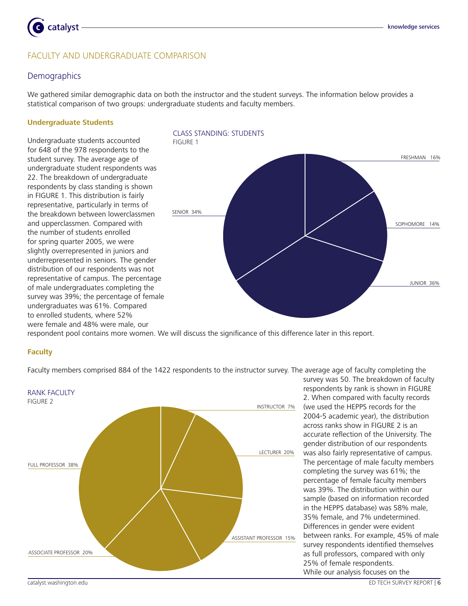

# FACULTY and UNDERGRADUATE COMPARISON

#### **Demographics**

We gathered similar demographic data on both the instructor and the student surveys. The information below provides a statistical comparison of two groups: undergraduate students and faculty members.

#### **Undergraduate Students**

Undergraduate students accounted for 648 of the 978 respondents to the student survey. The average age of undergraduate student respondents was 22. The breakdown of undergraduate respondents by class standing is shown in FIGURE 1. This distribution is fairly representative, particularly in terms of the breakdown between lowerclassmen and upperclassmen. Compared with the number of students enrolled for spring quarter 2005, we were slightly overrepresented in juniors and underrepresented in seniors. The gender distribution of our respondents was not representative of campus. The percentage of male undergraduates completing the survey was 39%; the percentage of female undergraduates was 61%. Compared to enrolled students, where 52% were female and 48% were male, our



respondent pool contains more women. We will discuss the significance of this difference later in this report.

#### **Faculty**

Faculty members comprised 884 of the 1422 respondents to the instructor survey. The average age of faculty completing the



survey was 50. The breakdown of faculty respondents by rank is shown in FIGURE 2. When compared with faculty records (we used the HEPPS records for the 2004-5 academic year), the distribution across ranks show in FIGURE 2 is an accurate reflection of the University. The gender distribution of our respondents was also fairly representative of campus. The percentage of male faculty members completing the survey was 61%; the percentage of female faculty members was 39%. The distribution within our sample (based on information recorded in the HEPPS database) was 58% male, 35% female, and 7% undetermined. Differences in gender were evident between ranks. For example, 45% of male survey respondents identified themselves as full professors, compared with only 25% of female respondents. While our analysis focuses on the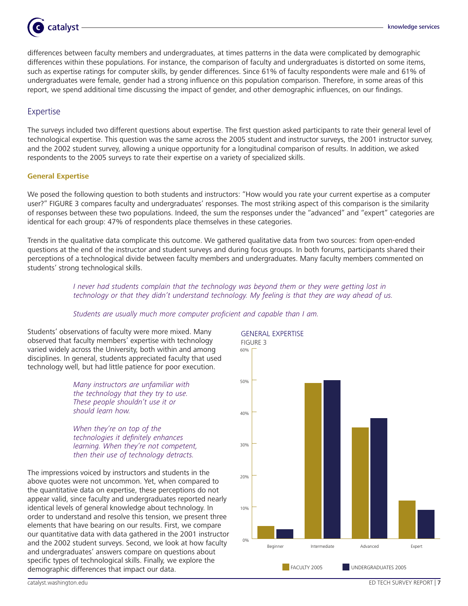

differences between faculty members and undergraduates, at times patterns in the data were complicated by demographic differences within these populations. For instance, the comparison of faculty and undergraduates is distorted on some items, such as expertise ratings for computer skills, by gender differences. Since 61% of faculty respondents were male and 61% of undergraduates were female, gender had a strong influence on this population comparison. Therefore, in some areas of this report, we spend additional time discussing the impact of gender, and other demographic influences, on our findings.

### Expertise

The surveys included two different questions about expertise. The first question asked participants to rate their general level of technological expertise. This question was the same across the 2005 student and instructor surveys, the 2001 instructor survey, and the 2002 student survey, allowing a unique opportunity for a longitudinal comparison of results. In addition, we asked respondents to the 2005 surveys to rate their expertise on a variety of specialized skills.

#### **General Expertise**

We posed the following question to both students and instructors: "How would you rate your current expertise as a computer user?" FIGURE 3 compares faculty and undergraduates' responses. The most striking aspect of this comparison is the similarity of responses between these two populations. Indeed, the sum the responses under the "advanced" and "expert" categories are identical for each group: 47% of respondents place themselves in these categories.

Trends in the qualitative data complicate this outcome. We gathered qualitative data from two sources: from open-ended questions at the end of the instructor and student surveys and during focus groups. In both forums, participants shared their perceptions of a technological divide between faculty members and undergraduates. Many faculty members commented on students' strong technological skills.

> I never had students complain that the technology was beyond them or they were getting lost in technology or that they didn't understand technology. My feeling is that they are way ahead of us.

#### Students are usually much more computer proficient and capable than I am.

Students' observations of faculty were more mixed. Many observed that faculty members' expertise with technology varied widely across the University, both within and among disciplines. In general, students appreciated faculty that used technology well, but had little patience for poor execution.

> Many instructors are unfamiliar with the technology that they try to use. These people shouldn't use it or should learn how.

When they're on top of the technologies it definitely enhances learning. When they're not competent, then their use of technology detracts.

The impressions voiced by instructors and students in the above quotes were not uncommon. Yet, when compared to the quantitative data on expertise, these perceptions do not appear valid, since faculty and undergraduates reported nearly identical levels of general knowledge about technology. In order to understand and resolve this tension, we present three elements that have bearing on our results. First, we compare our quantitative data with data gathered in the 2001 instructor and the 2002 student surveys. Second, we look at how faculty and undergraduates' answers compare on questions about specific types of technological skills. Finally, we explore the demographic differences that impact our data.

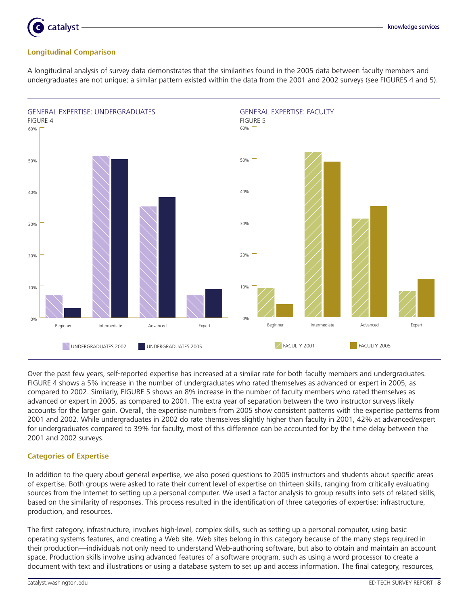

# **Longitudinal Comparison**

catalyst

A longitudinal analysis of survey data demonstrates that the similarities found in the 2005 data between faculty members and undergraduates are not unique; a similar pattern existed within the data from the 2001 and 2002 surveys (see FIGURES 4 and 5).



Over the past few years, self-reported expertise has increased at a similar rate for both faculty members and undergraduates. FIGURE 4 shows a 5% increase in the number of undergraduates who rated themselves as advanced or expert in 2005, as compared to 2002. Similarly, FIGURE 5 shows an 8% increase in the number of faculty members who rated themselves as advanced or expert in 2005, as compared to 2001. The extra year of separation between the two instructor surveys likely accounts for the larger gain. Overall, the expertise numbers from 2005 show consistent patterns with the expertise patterns from 2001 and 2002. While undergraduates in 2002 do rate themselves slightly higher than faculty in 2001, 42% at advanced/expert for undergraduates compared to 39% for faculty, most of this difference can be accounted for by the time delay between the 2001 and 2002 surveys.

#### **Categories of Expertise**

In addition to the query about general expertise, we also posed questions to 2005 instructors and students about specific areas of expertise. Both groups were asked to rate their current level of expertise on thirteen skills, ranging from critically evaluating sources from the Internet to setting up a personal computer. We used a factor analysis to group results into sets of related skills, based on the similarity of responses. This process resulted in the identification of three categories of expertise: infrastructure, production, and resources.

The first category, infrastructure, involves high-level, complex skills, such as setting up a personal computer, using basic operating systems features, and creating a Web site. Web sites belong in this category because of the many steps required in their production—individuals not only need to understand Web-authoring software, but also to obtain and maintain an account space. Production skills involve using advanced features of a software program, such as using a word processor to create a document with text and illustrations or using a database system to set up and access information. The final category, resources,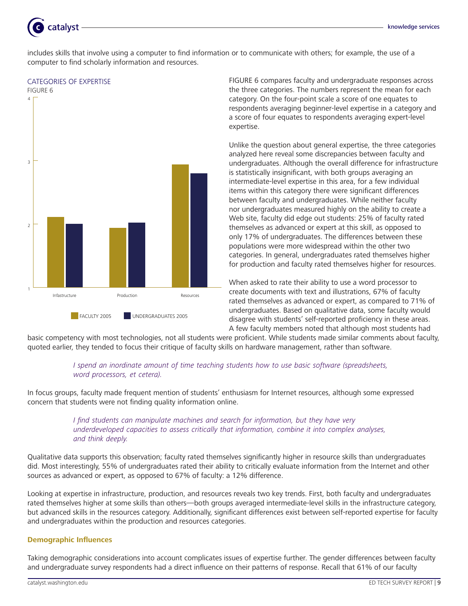

includes skills that involve using a computer to find information or to communicate with others; for example, the use of a computer to find scholarly information and resources.

#### Categories of Expertise



FIGURE 6 compares faculty and undergraduate responses across the three categories. The numbers represent the mean for each category. On the four-point scale a score of one equates to respondents averaging beginner-level expertise in a category and a score of four equates to respondents averaging expert-level expertise.

Unlike the question about general expertise, the three categories analyzed here reveal some discrepancies between faculty and undergraduates. Although the overall difference for infrastructure is statistically insignificant, with both groups averaging an intermediate-level expertise in this area, for a few individual items within this category there were significant differences between faculty and undergraduates. While neither faculty nor undergraduates measured highly on the ability to create a Web site, faculty did edge out students: 25% of faculty rated themselves as advanced or expert at this skill, as opposed to only 17% of undergraduates. The differences between these populations were more widespread within the other two categories. In general, undergraduates rated themselves higher for production and faculty rated themselves higher for resources.

When asked to rate their ability to use a word processor to create documents with text and illustrations, 67% of faculty rated themselves as advanced or expert, as compared to 71% of undergraduates. Based on qualitative data, some faculty would disagree with students' self-reported proficiency in these areas. A few faculty members noted that although most students had

basic competency with most technologies, not all students were proficient. While students made similar comments about faculty, quoted earlier, they tended to focus their critique of faculty skills on hardware management, rather than software. 

### I spend an inordinate amount of time teaching students how to use basic software (spreadsheets, word processors, et cetera).

In focus groups, faculty made frequent mention of students' enthusiasm for Internet resources, although some expressed concern that students were not finding quality information online.

## I find students can manipulate machines and search for information, but they have very underdeveloped capacities to assess critically that information, combine it into complex analyses, and think deeply.

Qualitative data supports this observation; faculty rated themselves significantly higher in resource skills than undergraduates did. Most interestingly, 55% of undergraduates rated their ability to critically evaluate information from the Internet and other sources as advanced or expert, as opposed to 67% of faculty: a 12% difference.

Looking at expertise in infrastructure, production, and resources reveals two key trends. First, both faculty and undergraduates rated themselves higher at some skills than others—both groups averaged intermediate-level skills in the infrastructure category, but advanced skills in the resources category. Additionally, significant differences exist between self-reported expertise for faculty and undergraduates within the production and resources categories.

#### **Demographic Influences**

Taking demographic considerations into account complicates issues of expertise further. The gender differences between faculty and undergraduate survey respondents had a direct influence on their patterns of response. Recall that 61% of our faculty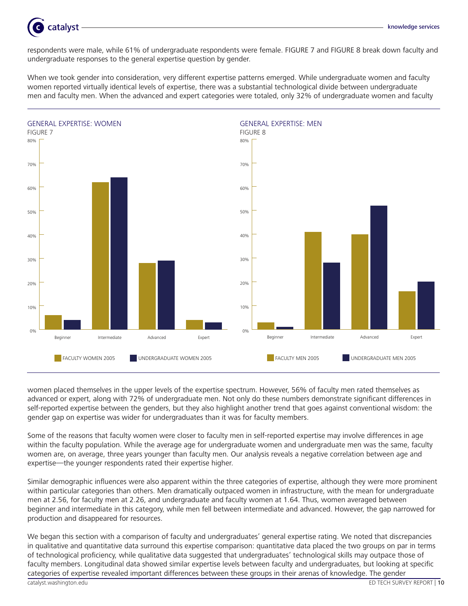

respondents were male, while 61% of undergraduate respondents were female. FIGURE 7 and FIGURE 8 break down faculty and undergraduate responses to the general expertise question by gender.

When we took gender into consideration, very different expertise patterns emerged. While undergraduate women and faculty women reported virtually identical levels of expertise, there was a substantial technological divide between undergraduate men and faculty men. When the advanced and expert categories were totaled, only 32% of undergraduate women and faculty



women placed themselves in the upper levels of the expertise spectrum. However, 56% of faculty men rated themselves as advanced or expert, along with 72% of undergraduate men. Not only do these numbers demonstrate significant differences in self-reported expertise between the genders, but they also highlight another trend that goes against conventional wisdom: the gender gap on expertise was wider for undergraduates than it was for faculty members.

Some of the reasons that faculty women were closer to faculty men in self-reported expertise may involve differences in age within the faculty population. While the average age for undergraduate women and undergraduate men was the same, faculty women are, on average, three years younger than faculty men. Our analysis reveals a negative correlation between age and expertise—the younger respondents rated their expertise higher.

Similar demographic influences were also apparent within the three categories of expertise, although they were more prominent within particular categories than others. Men dramatically outpaced women in infrastructure, with the mean for undergraduate men at 2.56, for faculty men at 2.26, and undergraduate and faculty women at 1.64. Thus, women averaged between beginner and intermediate in this category, while men fell between intermediate and advanced. However, the gap narrowed for production and disappeared for resources.

We began this section with a comparison of faculty and undergraduates' general expertise rating. We noted that discrepancies in qualitative and quantitative data surround this expertise comparison: quantitative data placed the two groups on par in terms of technological proficiency, while qualitative data suggested that undergraduates' technological skills may outpace those of faculty members. Longitudinal data showed similar expertise levels between faculty and undergraduates, but looking at specific categories of expertise revealed important differences between these groups in their arenas of knowledge. The gender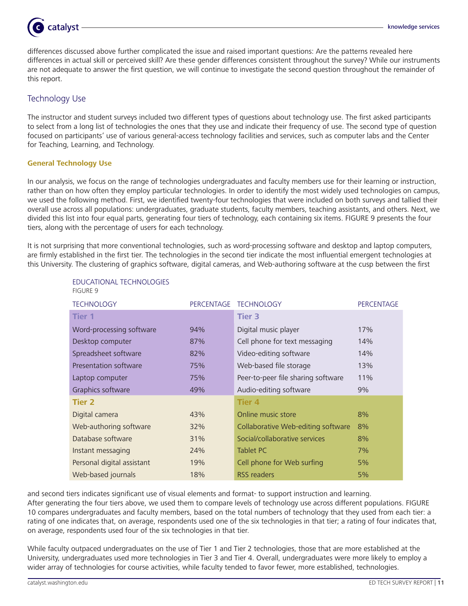

differences discussed above further complicated the issue and raised important questions: Are the patterns revealed here differences in actual skill or perceived skill? Are these gender differences consistent throughout the survey? While our instruments are not adequate to answer the first question, we will continue to investigate the second question throughout the remainder of this report.

# Technology Use

The instructor and student surveys included two different types of questions about technology use. The first asked participants to select from a long list of technologies the ones that they use and indicate their frequency of use. The second type of question focused on participants' use of various general-access technology facilities and services, such as computer labs and the Center for Teaching, Learning, and Technology.

### **General Technology Use**

In our analysis, we focus on the range of technologies undergraduates and faculty members use for their learning or instruction, rather than on how often they employ particular technologies. In order to identify the most widely used technologies on campus, we used the following method. First, we identified twenty-four technologies that were included on both surveys and tallied their overall use across all populations: undergraduates, graduate students, faculty members, teaching assistants, and others. Next, we divided this list into four equal parts, generating four tiers of technology, each containing six items. FIGURE 9 presents the four tiers, along with the percentage of users for each technology.

It is not surprising that more conventional technologies, such as word-processing software and desktop and laptop computers, are firmly established in the first tier. The technologies in the second tier indicate the most influential emergent technologies at this University. The clustering of graphics software, digital cameras, and Web-authoring software at the cusp between the first

| <b>TECHNOLOGY</b>          | <b>PERCENTAGE</b> | <b>TECHNOLOGY</b>                  | <b>PERCENTAGE</b> |
|----------------------------|-------------------|------------------------------------|-------------------|
| <b>Tier 1</b>              |                   | <b>Tier 3</b>                      |                   |
| Word-processing software   | 94%               | Digital music player               | 17%               |
| Desktop computer           | 87%               | Cell phone for text messaging      | 14%               |
| Spreadsheet software       | 82%               | Video-editing software             | 14%               |
| Presentation software      | 75%               | Web-based file storage             | 13%               |
| Laptop computer            | 75%               | Peer-to-peer file sharing software | 11%               |
| Graphics software          | 49%               | Audio-editing software             | 9%                |
| Tier 2                     |                   | <b>Tier 4</b>                      |                   |
| Digital camera             | 43%               | Online music store                 | 8%                |
| Web-authoring software     | 32%               | Collaborative Web-editing software | 8%                |
| Database software          | 31%               | Social/collaborative services      | 8%                |
| Instant messaging          | 24%               | <b>Tablet PC</b>                   | 7%                |
| Personal digital assistant | 19%               | Cell phone for Web surfing         | 5%                |
| Web-based journals         | 18%               | RSS readers                        | 5%                |

Educational Technologies FIGURE 9

and second tiers indicates significant use of visual elements and format- to support instruction and learning. After generating the four tiers above, we used them to compare levels of technology use across different populations. FIGURE 10 compares undergraduates and faculty members, based on the total numbers of technology that they used from each tier: a rating of one indicates that, on average, respondents used one of the six technologies in that tier; a rating of four indicates that, on average, respondents used four of the six technologies in that tier.

While faculty outpaced undergraduates on the use of Tier 1 and Tier 2 technologies, those that are more established at the University, undergraduates used more technologies in Tier 3 and Tier 4. Overall, undergraduates were more likely to employ a wider array of technologies for course activities, while faculty tended to favor fewer, more established, technologies.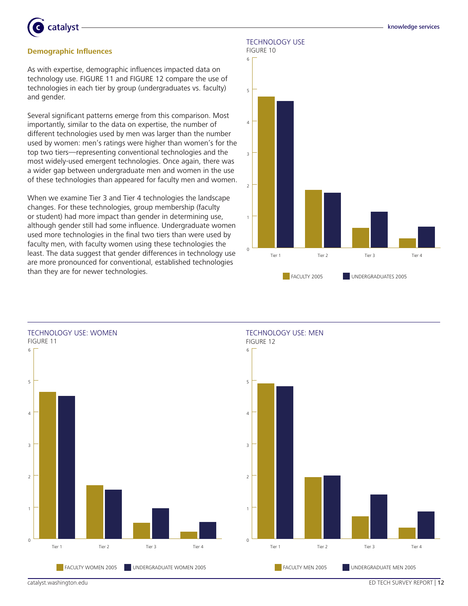

#### **Demographic Influences**

As with expertise, demographic influences impacted data on technology use. FIGURE 11 and FIGURE 12 compare the use of technologies in each tier by group (undergraduates vs. faculty) and gender.

Several significant patterns emerge from this comparison. Most importantly, similar to the data on expertise, the number of different technologies used by men was larger than the number used by women: men's ratings were higher than women's for the top two tiers—representing conventional technologies and the most widely-used emergent technologies. Once again, there was a wider gap between undergraduate men and women in the use of these technologies than appeared for faculty men and women.

When we examine Tier 3 and Tier 4 technologies the landscape changes. For these technologies, group membership (faculty or student) had more impact than gender in determining use, although gender still had some influence. Undergraduate women used more technologies in the final two tiers than were used by faculty men, with faculty women using these technologies the least. The data suggest that gender differences in technology use are more pronounced for conventional, established technologies than they are for newer technologies.

Technology Use





catalyst.washington.edu entry and the catalyst.washington.edu ED TECH SURVEY REPORT | 12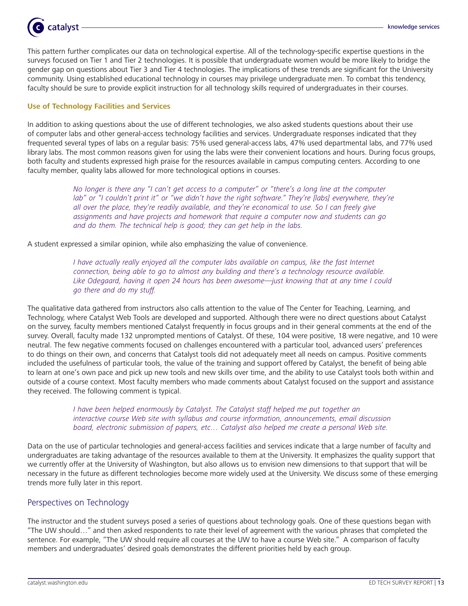

This pattern further complicates our data on technological expertise. All of the technology-specific expertise questions in the surveys focused on Tier 1 and Tier 2 technologies. It is possible that undergraduate women would be more likely to bridge the gender gap on questions about Tier 3 and Tier 4 technologies. The implications of these trends are significant for the University community. Using established educational technology in courses may privilege undergraduate men. To combat this tendency, faculty should be sure to provide explicit instruction for all technology skills required of undergraduates in their courses.

#### **Use of Technology Facilities and Services**

In addition to asking questions about the use of different technologies, we also asked students questions about their use of computer labs and other general-access technology facilities and services. Undergraduate responses indicated that they frequented several types of labs on a regular basis: 75% used general-access labs, 47% used departmental labs, and 77% used library labs. The most common reasons given for using the labs were their convenient locations and hours. During focus groups, both faculty and students expressed high praise for the resources available in campus computing centers. According to one faculty member, quality labs allowed for more technological options in courses.

> No longer is there any "I can't get access to a computer" or "there's a long line at the computer lab" or "I couldn't print it" or "we didn't have the right software." They're [labs] everywhere, they're all over the place, they're readily available, and they're economical to use. So I can freely give assignments and have projects and homework that require a computer now and students can go and do them. The technical help is good; they can get help in the labs.

A student expressed a similar opinion, while also emphasizing the value of convenience.

I have actually really enjoyed all the computer labs available on campus, like the fast Internet connection, being able to go to almost any building and there's a technology resource available. Like Odegaard, having it open 24 hours has been awesome—just knowing that at any time I could go there and do my stuff.

The qualitative data gathered from instructors also calls attention to the value of The Center for Teaching, Learning, and Technology, where Catalyst Web Tools are developed and supported. Although there were no direct questions about Catalyst on the survey, faculty members mentioned Catalyst frequently in focus groups and in their general comments at the end of the survey. Overall, faculty made 132 unprompted mentions of Catalyst. Of these, 104 were positive, 18 were negative, and 10 were neutral. The few negative comments focused on challenges encountered with a particular tool, advanced users' preferences to do things on their own, and concerns that Catalyst tools did not adequately meet all needs on campus. Positive comments included the usefulness of particular tools, the value of the training and support offered by Catalyst, the benefit of being able to learn at one's own pace and pick up new tools and new skills over time, and the ability to use Catalyst tools both within and outside of a course context. Most faculty members who made comments about Catalyst focused on the support and assistance they received. The following comment is typical.

> I have been helped enormously by Catalyst. The Catalyst staff helped me put together an interactive course Web site with syllabus and course information, announcements, email discussion board, electronic submission of papers, etc… Catalyst also helped me create a personal Web site.

Data on the use of particular technologies and general-access facilities and services indicate that a large number of faculty and undergraduates are taking advantage of the resources available to them at the University. It emphasizes the quality support that we currently offer at the University of Washington, but also allows us to envision new dimensions to that support that will be necessary in the future as different technologies become more widely used at the University. We discuss some of these emerging trends more fully later in this report.

# Perspectives on Technology

The instructor and the student surveys posed a series of questions about technology goals. One of these questions began with "The UW should…" and then asked respondents to rate their level of agreement with the various phrases that completed the sentence. For example, "The UW should require all courses at the UW to have a course Web site." A comparison of faculty members and undergraduates' desired goals demonstrates the different priorities held by each group.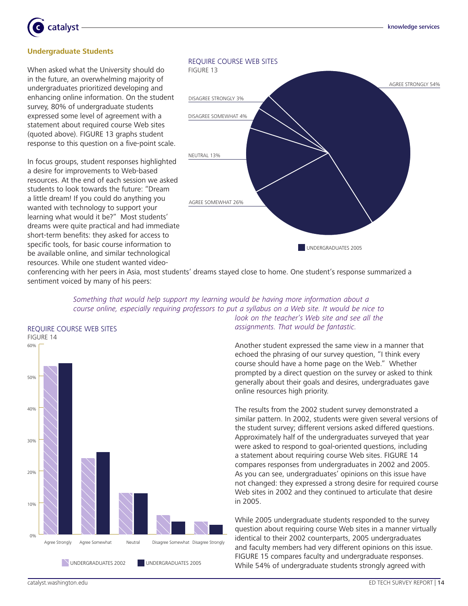

#### **Undergraduate Students**

When asked what the University should do in the future, an overwhelming majority of undergraduates prioritized developing and enhancing online information. On the student survey, 80% of undergraduate students expressed some level of agreement with a statement about required course Web sites (quoted above). FIGURE 13 graphs student response to this question on a five-point scale.

In focus groups, student responses highlighted a desire for improvements to Web-based resources. At the end of each session we asked students to look towards the future: "Dream a little dream! If you could do anything you wanted with technology to support your learning what would it be?" Most students' dreams were quite practical and had immediate short-term benefits: they asked for access to specific tools, for basic course information to be available online, and similar technological resources. While one student wanted video-



conferencing with her peers in Asia, most students' dreams stayed close to home. One student's response summarized a sentiment voiced by many of his peers:



Something that would help support my learning would be having more information about a course online, especially requiring professors to put a syllabus on a Web site. It would be nice to look on the teacher's Web site and see all the

assignments. That would be fantastic.

Another student expressed the same view in a manner that echoed the phrasing of our survey question, "I think every course should have a home page on the Web." Whether prompted by a direct question on the survey or asked to think generally about their goals and desires, undergraduates gave online resources high priority.

The results from the 2002 student survey demonstrated a similar pattern. In 2002, students were given several versions of the student survey; different versions asked differed questions. Approximately half of the undergraduates surveyed that year were asked to respond to goal-oriented questions, including a statement about requiring course Web sites. FIGURE 14 compares responses from undergraduates in 2002 and 2005. As you can see, undergraduates' opinions on this issue have not changed: they expressed a strong desire for required course Web sites in 2002 and they continued to articulate that desire in 2005.

While 2005 undergraduate students responded to the survey question about requiring course Web sites in a manner virtually identical to their 2002 counterparts, 2005 undergraduates and faculty members had very different opinions on this issue. FIGURE 15 compares faculty and undergraduate responses. While 54% of undergraduate students strongly agreed with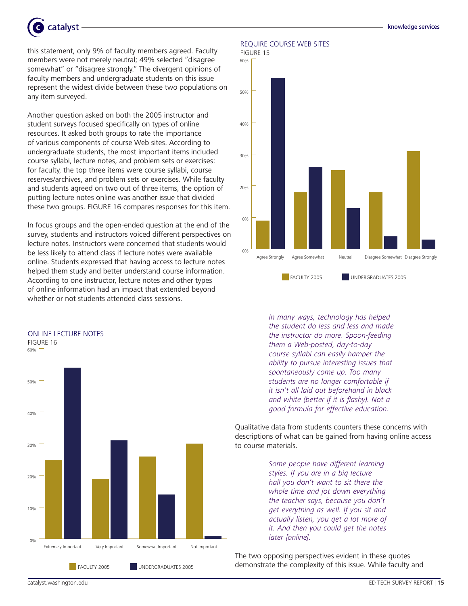

this statement, only 9% of faculty members agreed. Faculty members were not merely neutral; 49% selected "disagree somewhat" or "disagree strongly." The divergent opinions of faculty members and undergraduate students on this issue represent the widest divide between these two populations on any item surveyed.

Another question asked on both the 2005 instructor and student surveys focused specifically on types of online resources. It asked both groups to rate the importance of various components of course Web sites. According to undergraduate students, the most important items included course syllabi, lecture notes, and problem sets or exercises: for faculty, the top three items were course syllabi, course reserves/archives, and problem sets or exercises. While faculty and students agreed on two out of three items, the option of putting lecture notes online was another issue that divided these two groups. FIGURE 16 compares responses for this item.

In focus groups and the open-ended question at the end of the survey, students and instructors voiced different perspectives on lecture notes. Instructors were concerned that students would be less likely to attend class if lecture notes were available online. Students expressed that having access to lecture notes helped them study and better understand course information. According to one instructor, lecture notes and other types of online information had an impact that extended beyond whether or not students attended class sessions.



#### Require Course Web Sites



In many ways, technology has helped the student do less and less and made the instructor do more. Spoon-feeding them a Web-posted, day-to-day course syllabi can easily hamper the ability to pursue interesting issues that spontaneously come up. Too many students are no longer comfortable if it isn't all laid out beforehand in black and white (better if it is flashy). Not a good formula for effective education.

Qualitative data from students counters these concerns with descriptions of what can be gained from having online access to course materials.

> Some people have different learning styles. If you are in a big lecture hall you don't want to sit there the whole time and jot down everything the teacher says, because you don't get everything as well. If you sit and actually listen, you get a lot more of it. And then you could get the notes later [online].

The two opposing perspectives evident in these quotes demonstrate the complexity of this issue. While faculty and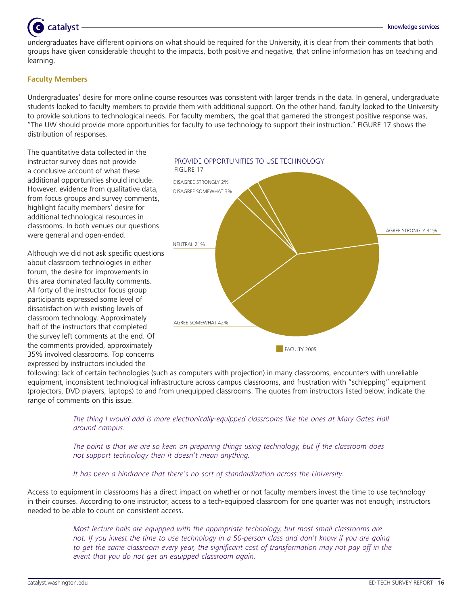# catalyst

undergraduates have different opinions on what should be required for the University, it is clear from their comments that both groups have given considerable thought to the impacts, both positive and negative, that online information has on teaching and learning.

#### **Faculty Members**

Undergraduates' desire for more online course resources was consistent with larger trends in the data. In general, undergraduate students looked to faculty members to provide them with additional support. On the other hand, faculty looked to the University to provide solutions to technological needs. For faculty members, the goal that garnered the strongest positive response was, "The UW should provide more opportunities for faculty to use technology to support their instruction." FIGURE 17 shows the distribution of responses.

Provide Opportunities to Use Technology

The quantitative data collected in the instructor survey does not provide a conclusive account of what these additional opportunities should include. However, evidence from qualitative data, from focus groups and survey comments, highlight faculty members' desire for additional technological resources in classrooms. In both venues our questions were general and open-ended.

Although we did not ask specific questions about classroom technologies in either forum, the desire for improvements in this area dominated faculty comments. All forty of the instructor focus group participants expressed some level of dissatisfaction with existing levels of classroom technology. Approximately half of the instructors that completed the survey left comments at the end. Of the comments provided, approximately 35% involved classrooms. Top concerns expressed by instructors included the



following: lack of certain technologies (such as computers with projection) in many classrooms, encounters with unreliable equipment, inconsistent technological infrastructure across campus classrooms, and frustration with "schlepping" equipment (projectors, DVD players, laptops) to and from unequipped classrooms. The quotes from instructors listed below, indicate the range of comments on this issue.

> The thing I would add is more electronically-equipped classrooms like the ones at Mary Gates Hall around campus.

The point is that we are so keen on preparing things using technology, but if the classroom does not support technology then it doesn't mean anything.

It has been a hindrance that there's no sort of standardization across the University.

Access to equipment in classrooms has a direct impact on whether or not faculty members invest the time to use technology in their courses. According to one instructor, access to a tech-equipped classroom for one quarter was not enough; instructors needed to be able to count on consistent access.

> Most lecture halls are equipped with the appropriate technology, but most small classrooms are not. If you invest the time to use technology in a 50-person class and don't know if you are going to get the same classroom every year, the significant cost of transformation may not pay off in the event that you do not get an equipped classroom again.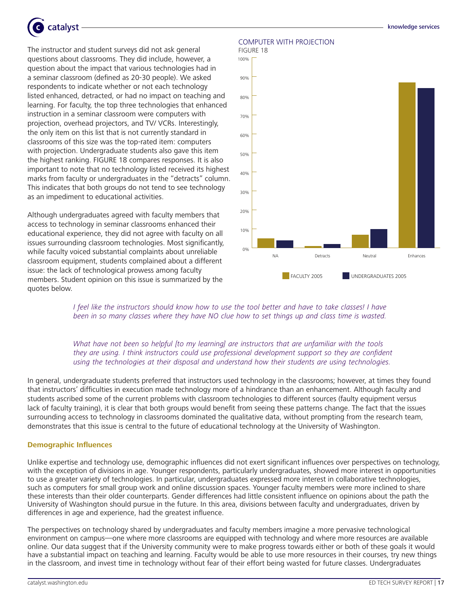

The instructor and student surveys did not ask general questions about classrooms. They did include, however, a question about the impact that various technologies had in a seminar classroom (defined as 20-30 people). We asked respondents to indicate whether or not each technology listed enhanced, detracted, or had no impact on teaching and learning. For faculty, the top three technologies that enhanced instruction in a seminar classroom were computers with projection, overhead projectors, and TV/ VCRs. Interestingly, the only item on this list that is not currently standard in classrooms of this size was the top-rated item: computers with projection. Undergraduate students also gave this item the highest ranking. FIGURE 18 compares responses. It is also important to note that no technology listed received its highest marks from faculty or undergraduates in the "detracts" column. This indicates that both groups do not tend to see technology as an impediment to educational activities.

Although undergraduates agreed with faculty members that access to technology in seminar classrooms enhanced their educational experience, they did not agree with faculty on all issues surrounding classroom technologies. Most significantly, while faculty voiced substantial complaints about unreliable classroom equipment, students complained about a different issue: the lack of technological prowess among faculty members. Student opinion on this issue is summarized by the quotes below.

# Computer with Projection





I feel like the instructors should know how to use the tool better and have to take classes! I have been in so many classes where they have NO clue how to set things up and class time is wasted.

#### What have not been so helpful [to my learning] are instructors that are unfamiliar with the tools they are using. I think instructors could use professional development support so they are confident using the technologies at their disposal and understand how their students are using technologies.

In general, undergraduate students preferred that instructors used technology in the classrooms; however, at times they found that instructors' difficulties in execution made technology more of a hindrance than an enhancement. Although faculty and students ascribed some of the current problems with classroom technologies to different sources (faulty equipment versus lack of faculty training), it is clear that both groups would benefit from seeing these patterns change. The fact that the issues surrounding access to technology in classrooms dominated the qualitative data, without prompting from the research team, demonstrates that this issue is central to the future of educational technology at the University of Washington.

#### **Demographic Influences**

Unlike expertise and technology use, demographic influences did not exert significant influences over perspectives on technology, with the exception of divisions in age. Younger respondents, particularly undergraduates, showed more interest in opportunities to use a greater variety of technologies. In particular, undergraduates expressed more interest in collaborative technologies, such as computers for small group work and online discussion spaces. Younger faculty members were more inclined to share these interests than their older counterparts. Gender differences had little consistent influence on opinions about the path the University of Washington should pursue in the future. In this area, divisions between faculty and undergraduates, driven by differences in age and experience, had the greatest influence.

The perspectives on technology shared by undergraduates and faculty members imagine a more pervasive technological environment on campus—one where more classrooms are equipped with technology and where more resources are available online. Our data suggest that if the University community were to make progress towards either or both of these goals it would have a substantial impact on teaching and learning. Faculty would be able to use more resources in their courses, try new things in the classroom, and invest time in technology without fear of their effort being wasted for future classes. Undergraduates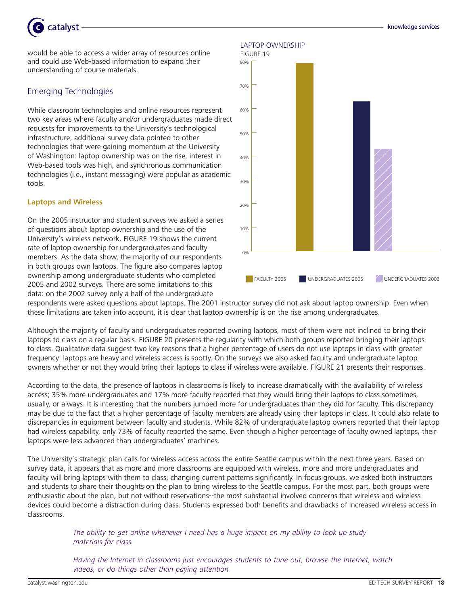

would be able to access a wider array of resources online and could use Web-based information to expand their understanding of course materials.

# Emerging Technologies

While classroom technologies and online resources represent two key areas where faculty and/or undergraduates made direct requests for improvements to the University's technological infrastructure, additional survey data pointed to other technologies that were gaining momentum at the University of Washington: laptop ownership was on the rise, interest in Web-based tools was high, and synchronous communication technologies (i.e., instant messaging) were popular as academic tools.

#### **Laptops and Wireless**

On the 2005 instructor and student surveys we asked a series of questions about laptop ownership and the use of the University's wireless network. FIGURE 19 shows the current rate of laptop ownership for undergraduates and faculty members. As the data show, the majority of our respondents in both groups own laptops. The figure also compares laptop ownership among undergraduate students who completed 2005 and 2002 surveys. There are some limitations to this data: on the 2002 survey only a half of the undergraduate



respondents were asked questions about laptops. The 2001 instructor survey did not ask about laptop ownership. Even when these limitations are taken into account, it is clear that laptop ownership is on the rise among undergraduates.

Although the majority of faculty and undergraduates reported owning laptops, most of them were not inclined to bring their laptops to class on a regular basis. FIGURE 20 presents the regularity with which both groups reported bringing their laptops to class. Qualitative data suggest two key reasons that a higher percentage of users do not use laptops in class with greater frequency: laptops are heavy and wireless access is spotty. On the surveys we also asked faculty and undergraduate laptop owners whether or not they would bring their laptops to class if wireless were available. FIGURE 21 presents their responses.

According to the data, the presence of laptops in classrooms is likely to increase dramatically with the availability of wireless access; 35% more undergraduates and 17% more faculty reported that they would bring their laptops to class sometimes, usually, or always. It is interesting that the numbers jumped more for undergraduates than they did for faculty. This discrepancy may be due to the fact that a higher percentage of faculty members are already using their laptops in class. It could also relate to discrepancies in equipment between faculty and students. While 82% of undergraduate laptop owners reported that their laptop had wireless capability, only 73% of faculty reported the same. Even though a higher percentage of faculty owned laptops, their laptops were less advanced than undergraduates' machines.

The University's strategic plan calls for wireless access across the entire Seattle campus within the next three years. Based on survey data, it appears that as more and more classrooms are equipped with wireless, more and more undergraduates and faculty will bring laptops with them to class, changing current patterns significantly. In focus groups, we asked both instructors and students to share their thoughts on the plan to bring wireless to the Seattle campus. For the most part, both groups were enthusiastic about the plan, but not without reservations--the most substantial involved concerns that wireless and wireless devices could become a distraction during class. Students expressed both benefits and drawbacks of increased wireless access in classrooms.

> The ability to get online whenever I need has a huge impact on my ability to look up study materials for class.

Having the Internet in classrooms just encourages students to tune out, browse the Internet, watch videos, or do things other than paying attention.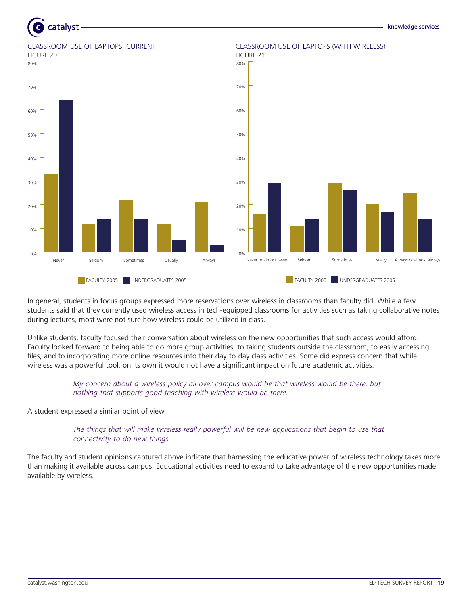

In general, students in focus groups expressed more reservations over wireless in classrooms than faculty did. While a few students said that they currently used wireless access in tech-equipped classrooms for activities such as taking collaborative notes during lectures, most were not sure how wireless could be utilized in class.

Unlike students, faculty focused their conversation about wireless on the new opportunities that such access would afford. Faculty looked forward to being able to do more group activities, to taking students outside the classroom, to easily accessing files, and to incorporating more online resources into their day-to-day class activities. Some did express concern that while wireless was a powerful tool, on its own it would not have a significant impact on future academic activities.

> My concern about a wireless policy all over campus would be that wireless would be there, but nothing that supports good teaching with wireless would be there.

A student expressed a similar point of view.

The things that will make wireless really powerful will be new applications that begin to use that connectivity to do new things.

The faculty and student opinions captured above indicate that harnessing the educative power of wireless technology takes more than making it available across campus. Educational activities need to expand to take advantage of the new opportunities made available by wireless.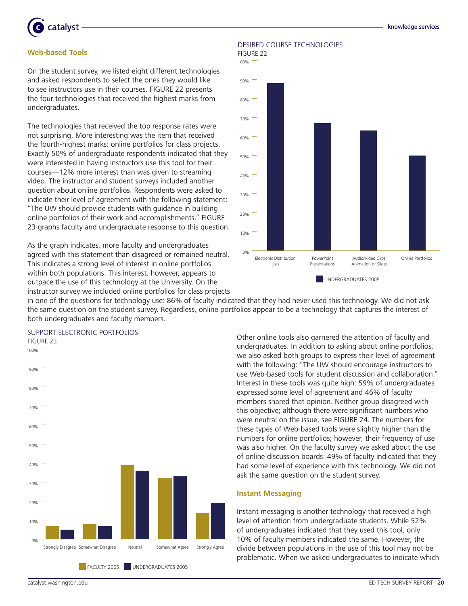

#### **Web-based Tools**

On the student survey, we listed eight different technologies and asked respondents to select the ones they would like to see instructors use in their courses. FIGURE 22 presents the four technologies that received the highest marks from undergraduates.

The technologies that received the top response rates were not surprising. More interesting was the item that received the fourth-highest marks: online portfolios for class projects. Exactly 50% of undergraduate respondents indicated that they were interested in having instructors use this tool for their courses—12% more interest than was given to streaming video. The instructor and student surveys included another question about online portfolios. Respondents were asked to indicate their level of agreement with the following statement: "The UW should provide students with guidance in building online portfolios of their work and accomplishments." FIGURE 23 graphs faculty and undergraduate response to this question.

As the graph indicates, more faculty and undergraduates agreed with this statement than disagreed or remained neutral. This indicates a strong level of interest in online portfolios within both populations. This interest, however, appears to outpace the use of this technology at the University. On the instructor survey we included online portfolios for class projects

#### Desired Course Technologies



in one of the questions for technology use: 86% of faculty indicated that they had never used this technology. We did not ask the same question on the student survey. Regardless, online portfolios appear to be a technology that captures the interest of both undergraduates and faculty members.

# Support Electronic Portfolios



Other online tools also garnered the attention of faculty and undergraduates. In addition to asking about online portfolios, we also asked both groups to express their level of agreement with the following: "The UW should encourage instructors to use Web-based tools for student discussion and collaboration." Interest in these tools was quite high: 59% of undergraduates expressed some level of agreement and 46% of faculty members shared that opinion. Neither group disagreed with this objective; although there were significant numbers who were neutral on the issue, see FIGURE 24. The numbers for these types of Web-based tools were slightly higher than the numbers for online portfolios; however, their frequency of use was also higher. On the faculty survey we asked about the use of online discussion boards: 49% of faculty indicated that they had some level of experience with this technology. We did not ask the same question on the student survey.

#### **Instant Messaging**

Instant messaging is another technology that received a high level of attention from undergraduate students. While 52% of undergraduates indicated that they used this tool, only 10% of faculty members indicated the same. However, the divide between populations in the use of this tool may not be problematic. When we asked undergraduates to indicate which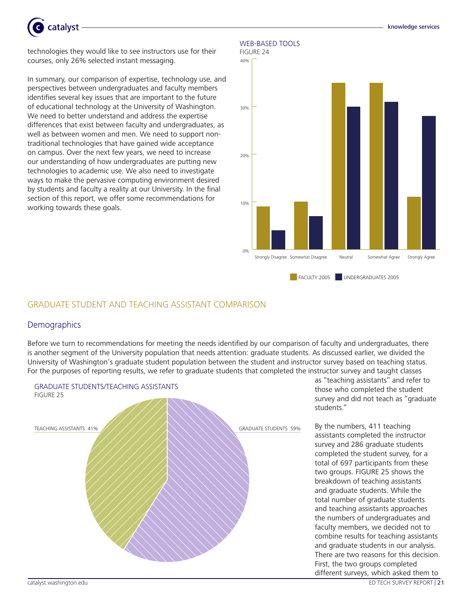

technologies they would like to see instructors use for their courses, only 26% selected instant messaging.

In summary, our comparison of expertise, technology use, and perspectives between undergraduates and faculty members identifies several key issues that are important to the future of educational technology at the University of Washington. We need to better understand and address the expertise differences that exist between faculty and undergraduates, as well as between women and men. We need to support nontraditional technologies that have gained wide acceptance on campus. Over the next few years, we need to increase our understanding of how undergraduates are putting new technologies to academic use. We also need to investigate ways to make the pervasive computing environment desired by students and faculty a reality at our University. In the final section of this report, we offer some recommendations for working towards these goals.

#### WEB-BASED TOOLS



knowledge services

# GRADUATE STUDENT and TEACHING ASSISTANT COMPARISON

# **Demographics**

Before we turn to recommendations for meeting the needs identified by our comparison of faculty and undergraduates, there is another segment of the University population that needs attention: graduate students. As discussed earlier, we divided the University of Washington's graduate student population between the student and instructor survey based on teaching status. For the purposes of reporting results, we refer to graduate students that completed the instructor survey and taught classes



as "teaching assistants" and refer to those who completed the student survey and did not teach as "graduate students."

By the numbers, 411 teaching assistants completed the instructor survey and 286 graduate students completed the student survey, for a total of 697 participants from these two groups. FIGURE 25 shows the breakdown of teaching assistants and graduate students. While the total number of graduate students and teaching assistants approaches the numbers of undergraduates and faculty members, we decided not to combine results for teaching assistants and graduate students in our analysis. There are two reasons for this decision. First, the two groups completed different surveys, which asked them to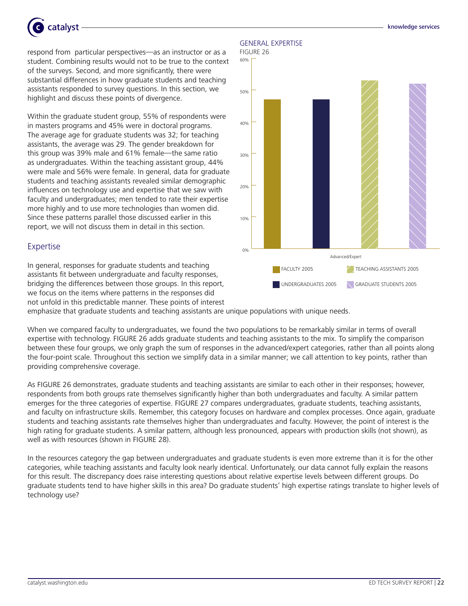

respond from particular perspectives—as an instructor or as a student. Combining results would not to be true to the context of the surveys. Second, and more significantly, there were substantial differences in how graduate students and teaching assistants responded to survey questions. In this section, we highlight and discuss these points of divergence.

Within the graduate student group, 55% of respondents were in masters programs and 45% were in doctoral programs. The average age for graduate students was 32; for teaching assistants, the average was 29. The gender breakdown for this group was 39% male and 61% female—the same ratio as undergraduates. Within the teaching assistant group, 44% were male and 56% were female. In general, data for graduate students and teaching assistants revealed similar demographic influences on technology use and expertise that we saw with faculty and undergraduates; men tended to rate their expertise more highly and to use more technologies than women did. Since these patterns parallel those discussed earlier in this report, we will not discuss them in detail in this section.

# Expertise

In general, responses for graduate students and teaching assistants fit between undergraduate and faculty responses, bridging the differences between those groups. In this report, we focus on the items where patterns in the responses did not unfold in this predictable manner. These points of interest

## General Expertise





emphasize that graduate students and teaching assistants are unique populations with unique needs.

When we compared faculty to undergraduates, we found the two populations to be remarkably similar in terms of overall expertise with technology. FIGURE 26 adds graduate students and teaching assistants to the mix. To simplify the comparison between these four groups, we only graph the sum of responses in the advanced/expert categories, rather than all points along the four-point scale. Throughout this section we simplify data in a similar manner; we call attention to key points, rather than providing comprehensive coverage.

As FIGURE 26 demonstrates, graduate students and teaching assistants are similar to each other in their responses; however, respondents from both groups rate themselves significantly higher than both undergraduates and faculty. A similar pattern emerges for the three categories of expertise. FIGURE 27 compares undergraduates, graduate students, teaching assistants, and faculty on infrastructure skills. Remember, this category focuses on hardware and complex processes. Once again, graduate students and teaching assistants rate themselves higher than undergraduates and faculty. However, the point of interest is the high rating for graduate students. A similar pattern, although less pronounced, appears with production skills (not shown), as well as with resources (shown in FIGURE 28).

In the resources category the gap between undergraduates and graduate students is even more extreme than it is for the other categories, while teaching assistants and faculty look nearly identical. Unfortunately, our data cannot fully explain the reasons for this result. The discrepancy does raise interesting questions about relative expertise levels between different groups. Do graduate students tend to have higher skills in this area? Do graduate students' high expertise ratings translate to higher levels of technology use?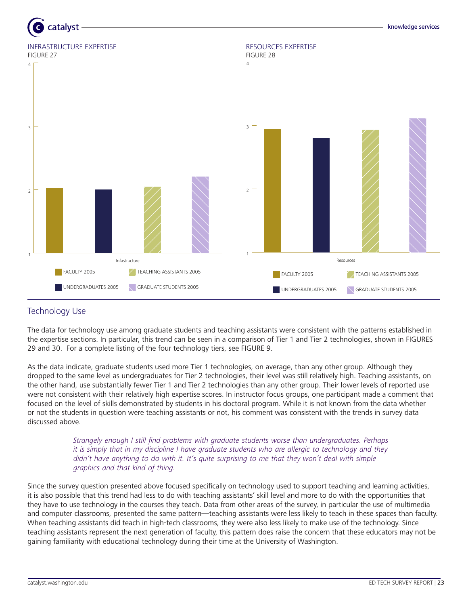



# Technology Use

The data for technology use among graduate students and teaching assistants were consistent with the patterns established in the expertise sections. In particular, this trend can be seen in a comparison of Tier 1 and Tier 2 technologies, shown in FIGURES 29 and 30. For a complete listing of the four technology tiers, see FIGURE 9.

As the data indicate, graduate students used more Tier 1 technologies, on average, than any other group. Although they dropped to the same level as undergraduates for Tier 2 technologies, their level was still relatively high. Teaching assistants, on the other hand, use substantially fewer Tier 1 and Tier 2 technologies than any other group. Their lower levels of reported use were not consistent with their relatively high expertise scores. In instructor focus groups, one participant made a comment that focused on the level of skills demonstrated by students in his doctoral program. While it is not known from the data whether or not the students in question were teaching assistants or not, his comment was consistent with the trends in survey data discussed above.

> Strangely enough I still find problems with graduate students worse than undergraduates. Perhaps it is simply that in my discipline I have graduate students who are allergic to technology and they didn't have anything to do with it. It's quite surprising to me that they won't deal with simple graphics and that kind of thing.

Since the survey question presented above focused specifically on technology used to support teaching and learning activities, it is also possible that this trend had less to do with teaching assistants' skill level and more to do with the opportunities that they have to use technology in the courses they teach. Data from other areas of the survey, in particular the use of multimedia and computer classrooms, presented the same pattern—teaching assistants were less likely to teach in these spaces than faculty. When teaching assistants did teach in high-tech classrooms, they were also less likely to make use of the technology. Since teaching assistants represent the next generation of faculty, this pattern does raise the concern that these educators may not be gaining familiarity with educational technology during their time at the University of Washington.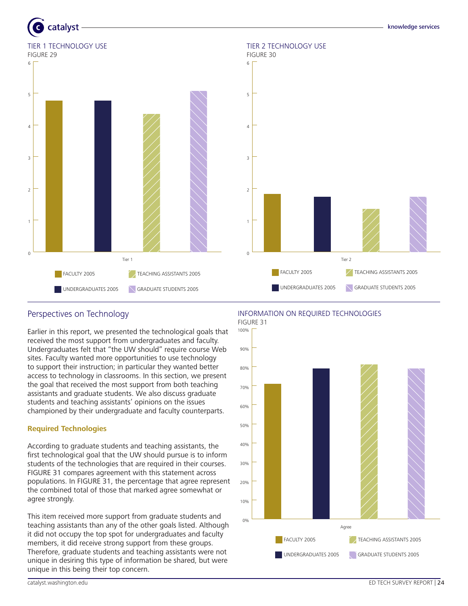



# Perspectives on Technology

Earlier in this report, we presented the technological goals that received the most support from undergraduates and faculty. Undergraduates felt that "the UW should" require course Web sites. Faculty wanted more opportunities to use technology to support their instruction; in particular they wanted better access to technology in classrooms. In this section, we present the goal that received the most support from both teaching assistants and graduate students. We also discuss graduate students and teaching assistants' opinions on the issues championed by their undergraduate and faculty counterparts.

# **Required Technologies**

According to graduate students and teaching assistants, the first technological goal that the UW should pursue is to inform students of the technologies that are required in their courses. FIGURE 31 compares agreement with this statement across populations. In FIGURE 31, the percentage that agree represent the combined total of those that marked agree somewhat or agree strongly.

This item received more support from graduate students and teaching assistants than any of the other goals listed. Although it did not occupy the top spot for undergraduates and faculty members, it did receive strong support from these groups. Therefore, graduate students and teaching assistants were not unique in desiring this type of information be shared, but were unique in this being their top concern.

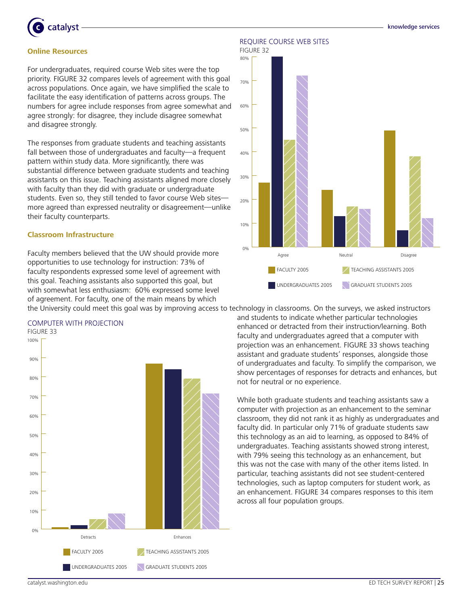



#### **Online Resources**

For undergraduates, required course Web sites were the top priority. FIGURE 32 compares levels of agreement with this goal across populations. Once again, we have simplified the scale to facilitate the easy identification of patterns across groups. The numbers for agree include responses from agree somewhat and agree strongly: for disagree, they include disagree somewhat and disagree strongly.

The responses from graduate students and teaching assistants fall between those of undergraduates and faculty—a frequent pattern within study data. More significantly, there was substantial difference between graduate students and teaching assistants on this issue. Teaching assistants aligned more closely with faculty than they did with graduate or undergraduate students. Even so, they still tended to favor course Web sites more agreed than expressed neutrality or disagreement—unlike their faculty counterparts.

#### **Classroom Infrastructure**

Computer with Projection

Faculty members believed that the UW should provide more opportunities to use technology for instruction: 73% of faculty respondents expressed some level of agreement with this goal. Teaching assistants also supported this goal, but with somewhat less enthusiasm: 60% expressed some level of agreement. For faculty, one of the main means by which

Require Course Web Sites





the University could meet this goal was by improving access to technology in classrooms. On the surveys, we asked instructors and students to indicate whether particular technologies enhanced or detracted from their instruction/learning. Both faculty and undergraduates agreed that a computer with projection was an enhancement. FIGURE 33 shows teaching assistant and graduate students' responses, alongside those of undergraduates and faculty. To simplify the comparison, we show percentages of responses for detracts and enhances, but not for neutral or no experience.

> While both graduate students and teaching assistants saw a computer with projection as an enhancement to the seminar classroom, they did not rank it as highly as undergraduates and faculty did. In particular only 71% of graduate students saw this technology as an aid to learning, as opposed to 84% of undergraduates. Teaching assistants showed strong interest, with 79% seeing this technology as an enhancement, but this was not the case with many of the other items listed. In particular, teaching assistants did not see student-centered technologies, such as laptop computers for student work, as an enhancement. FIGURE 34 compares responses to this item across all four population groups.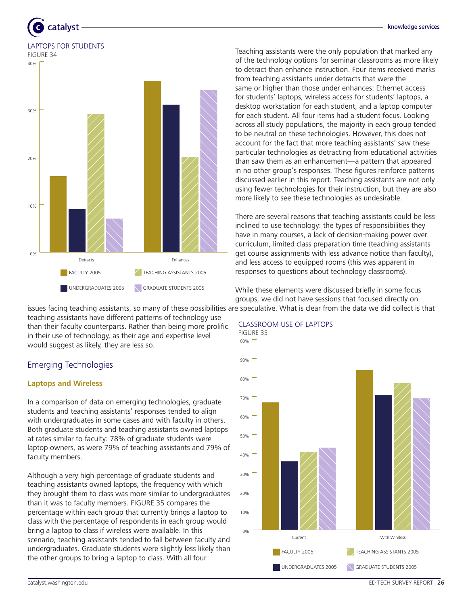# catalyst Laptops for Students

figure 34



Teaching assistants were the only population that marked any of the technology options for seminar classrooms as more likely to detract than enhance instruction. Four items received marks from teaching assistants under detracts that were the same or higher than those under enhances: Ethernet access for students' laptops, wireless access for students' laptops, a desktop workstation for each student, and a laptop computer for each student. All four items had a student focus. Looking across all study populations, the majority in each group tended to be neutral on these technologies. However, this does not account for the fact that more teaching assistants' saw these particular technologies as detracting from educational activities than saw them as an enhancement—a pattern that appeared in no other group's responses. These figures reinforce patterns discussed earlier in this report. Teaching assistants are not only using fewer technologies for their instruction, but they are also more likely to see these technologies as undesirable.

There are several reasons that teaching assistants could be less inclined to use technology: the types of responsibilities they have in many courses, a lack of decision-making power over curriculum, limited class preparation time (teaching assistants get course assignments with less advance notice than faculty), and less access to equipped rooms (this was apparent in responses to questions about technology classrooms).

While these elements were discussed briefly in some focus groups, we did not have sessions that focused directly on issues facing teaching assistants, so many of these possibilities are speculative. What is clear from the data we did collect is that

teaching assistants have different patterns of technology use than their faculty counterparts. Rather than being more prolific in their use of technology, as their age and expertise level would suggest as likely, they are less so.

# Emerging Technologies

# **Laptops and Wireless**

In a comparison of data on emerging technologies, graduate students and teaching assistants' responses tended to align with undergraduates in some cases and with faculty in others. Both graduate students and teaching assistants owned laptops at rates similar to faculty: 78% of graduate students were laptop owners, as were 79% of teaching assistants and 79% of faculty members.

Although a very high percentage of graduate students and teaching assistants owned laptops, the frequency with which they brought them to class was more similar to undergraduates than it was to faculty members. FIGURE 35 compares the percentage within each group that currently brings a laptop to class with the percentage of respondents in each group would bring a laptop to class if wireless were available. In this scenario, teaching assistants tended to fall between faculty and undergraduates. Graduate students were slightly less likely than the other groups to bring a laptop to class. With all four



# Classroom Use of Laptops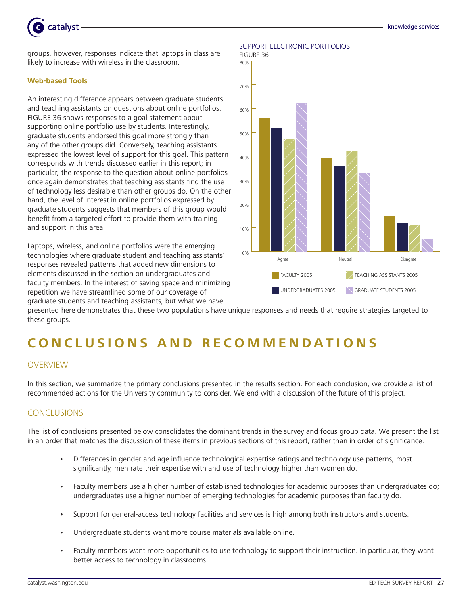

#### **Web-based Tools**

An interesting difference appears between graduate students and teaching assistants on questions about online portfolios. FIGURE 36 shows responses to a goal statement about supporting online portfolio use by students. Interestingly, graduate students endorsed this goal more strongly than any of the other groups did. Conversely, teaching assistants expressed the lowest level of support for this goal. This pattern corresponds with trends discussed earlier in this report; in particular, the response to the question about online portfolios once again demonstrates that teaching assistants find the use of technology less desirable than other groups do. On the other hand, the level of interest in online portfolios expressed by graduate students suggests that members of this group would benefit from a targeted effort to provide them with training and support in this area.

Laptops, wireless, and online portfolios were the emerging technologies where graduate student and teaching assistants' responses revealed patterns that added new dimensions to elements discussed in the section on undergraduates and faculty members. In the interest of saving space and minimizing repetition we have streamlined some of our coverage of graduate students and teaching assistants, but what we have



presented here demonstrates that these two populations have unique responses and needs that require strategies targeted to these groups.

# **C O N CL U S I O N S A N D R EC O M M E N D A T I O N S**

# **OVERVIEW**

In this section, we summarize the primary conclusions presented in the results section. For each conclusion, we provide a list of recommended actions for the University community to consider. We end with a discussion of the future of this project.

# **CONCLUSIONS**

The list of conclusions presented below consolidates the dominant trends in the survey and focus group data. We present the list in an order that matches the discussion of these items in previous sections of this report, rather than in order of significance.

- Differences in gender and age influence technological expertise ratings and technology use patterns; most significantly, men rate their expertise with and use of technology higher than women do. •
- Faculty members use a higher number of established technologies for academic purposes than undergraduates do; undergraduates use a higher number of emerging technologies for academic purposes than faculty do. •
- Support for general-access technology facilities and services is high among both instructors and students. •
- Undergraduate students want more course materials available online. •
- Faculty members want more opportunities to use technology to support their instruction. In particular, they want better access to technology in classrooms. •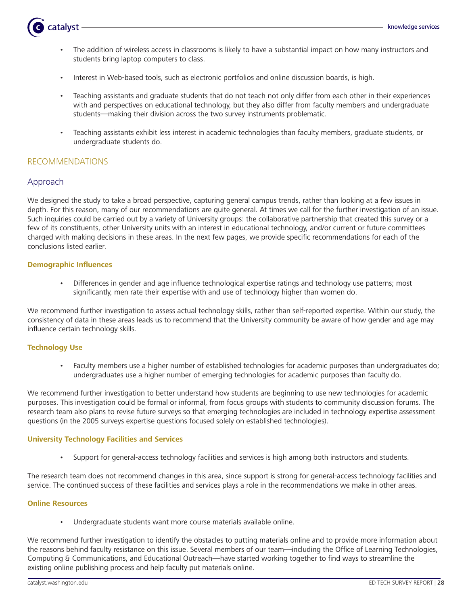

- The addition of wireless access in classrooms is likely to have a substantial impact on how many instructors and students bring laptop computers to class. •
- Interest in Web-based tools, such as electronic portfolios and online discussion boards, is high. •
- Teaching assistants and graduate students that do not teach not only differ from each other in their experiences with and perspectives on educational technology, but they also differ from faculty members and undergraduate students—making their division across the two survey instruments problematic. •
- Teaching assistants exhibit less interest in academic technologies than faculty members, graduate students, or undergraduate students do. •

# RECOMMENDATIONS

# Approach

We designed the study to take a broad perspective, capturing general campus trends, rather than looking at a few issues in depth. For this reason, many of our recommendations are quite general. At times we call for the further investigation of an issue. Such inquiries could be carried out by a variety of University groups: the collaborative partnership that created this survey or a few of its constituents, other University units with an interest in educational technology, and/or current or future committees charged with making decisions in these areas. In the next few pages, we provide specific recommendations for each of the conclusions listed earlier.

### **Demographic Influences**

Differences in gender and age influence technological expertise ratings and technology use patterns; most significantly, men rate their expertise with and use of technology higher than women do. •

We recommend further investigation to assess actual technology skills, rather than self-reported expertise. Within our study, the consistency of data in these areas leads us to recommend that the University community be aware of how gender and age may influence certain technology skills.

# **Technology Use**

Faculty members use a higher number of established technologies for academic purposes than undergraduates do; undergraduates use a higher number of emerging technologies for academic purposes than faculty do. •

We recommend further investigation to better understand how students are beginning to use new technologies for academic purposes. This investigation could be formal or informal, from focus groups with students to community discussion forums. The research team also plans to revise future surveys so that emerging technologies are included in technology expertise assessment questions (in the 2005 surveys expertise questions focused solely on established technologies).

#### **University Technology Facilities and Services**

Support for general-access technology facilities and services is high among both instructors and students. •

The research team does not recommend changes in this area, since support is strong for general-access technology facilities and service. The continued success of these facilities and services plays a role in the recommendations we make in other areas.

### **Online Resources**

Undergraduate students want more course materials available online. •

We recommend further investigation to identify the obstacles to putting materials online and to provide more information about the reasons behind faculty resistance on this issue. Several members of our team—including the Office of Learning Technologies, Computing & Communications, and Educational Outreach—have started working together to find ways to streamline the existing online publishing process and help faculty put materials online.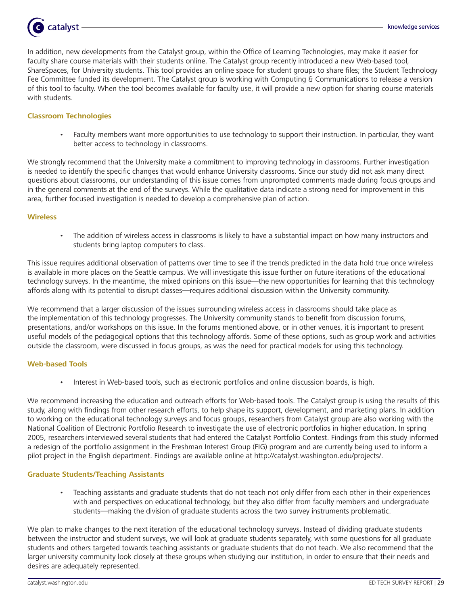

In addition, new developments from the Catalyst group, within the Office of Learning Technologies, may make it easier for faculty share course materials with their students online. The Catalyst group recently introduced a new Web-based tool, ShareSpaces, for University students. This tool provides an online space for student groups to share files; the Student Technology Fee Committee funded its development. The Catalyst group is working with Computing & Communications to release a version of this tool to faculty. When the tool becomes available for faculty use, it will provide a new option for sharing course materials with students.

#### **Classroom Technologies**

Faculty members want more opportunities to use technology to support their instruction. In particular, they want better access to technology in classrooms. •

We strongly recommend that the University make a commitment to improving technology in classrooms. Further investigation is needed to identify the specific changes that would enhance University classrooms. Since our study did not ask many direct questions about classrooms, our understanding of this issue comes from unprompted comments made during focus groups and in the general comments at the end of the surveys. While the qualitative data indicate a strong need for improvement in this area, further focused investigation is needed to develop a comprehensive plan of action.

#### **Wireless**

The addition of wireless access in classrooms is likely to have a substantial impact on how many instructors and students bring laptop computers to class. •

This issue requires additional observation of patterns over time to see if the trends predicted in the data hold true once wireless is available in more places on the Seattle campus. We will investigate this issue further on future iterations of the educational technology surveys. In the meantime, the mixed opinions on this issue—the new opportunities for learning that this technology affords along with its potential to disrupt classes—requires additional discussion within the University community.

We recommend that a larger discussion of the issues surrounding wireless access in classrooms should take place as the implementation of this technology progresses. The University community stands to benefit from discussion forums, presentations, and/or workshops on this issue. In the forums mentioned above, or in other venues, it is important to present useful models of the pedagogical options that this technology affords. Some of these options, such as group work and activities outside the classroom, were discussed in focus groups, as was the need for practical models for using this technology.

#### **Web-based Tools**

Interest in Web-based tools, such as electronic portfolios and online discussion boards, is high. •

We recommend increasing the education and outreach efforts for Web-based tools. The Catalyst group is using the results of this study, along with findings from other research efforts, to help shape its support, development, and marketing plans. In addition to working on the educational technology surveys and focus groups, researchers from Catalyst group are also working with the National Coalition of Electronic Portfolio Research to investigate the use of electronic portfolios in higher education. In spring 2005, researchers interviewed several students that had entered the Catalyst Portfolio Contest. Findings from this study informed a redesign of the portfolio assignment in the Freshman Interest Group (FIG) program and are currently being used to inform a pilot project in the English department. Findings are available online at http://catalyst.washington.edu/projects/.

#### **Graduate Students/Teaching Assistants**

Teaching assistants and graduate students that do not teach not only differ from each other in their experiences with and perspectives on educational technology, but they also differ from faculty members and undergraduate students—making the division of graduate students across the two survey instruments problematic. •

We plan to make changes to the next iteration of the educational technology surveys. Instead of dividing graduate students between the instructor and student surveys, we will look at graduate students separately, with some questions for all graduate students and others targeted towards teaching assistants or graduate students that do not teach. We also recommend that the larger university community look closely at these groups when studying our institution, in order to ensure that their needs and desires are adequately represented.